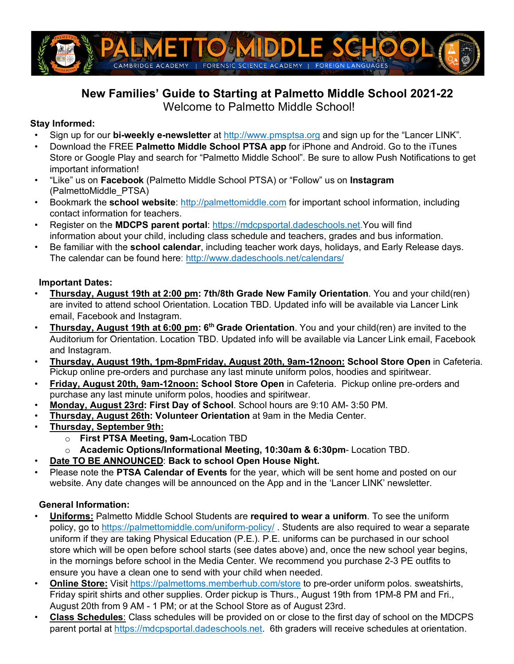

# **New Families' Guide to Starting at Palmetto Middle School 2021-22** Welcome to Palmetto Middle School!

## **Stay Informed:**

- Sign up for our **bi-weekly e-newsletter** at http://www.pmsptsa.org and sign up for the "Lancer LINK".
- Download the FREE **Palmetto Middle School PTSA app** for iPhone and Android. Go to the iTunes Store or Google Play and search for "Palmetto Middle School". Be sure to allow Push Notifications to get important information!
- "Like" us on **Facebook** (Palmetto Middle School PTSA) or "Follow" us on **Instagram**  (PalmettoMiddle\_PTSA)
- Bookmark the **school website**: http://palmettomiddle.com for important school information, including contact information for teachers.
- Register on the **MDCPS parent portal**: https://mdcpsportal.dadeschools.net.You will find information about your child, including class schedule and teachers, grades and bus information.
- Be familiar with the **school calendar**, including teacher work days, holidays, and Early Release days. The calendar can be found here: http://www.dadeschools.net/calendars/

### **Important Dates:**

- **Thursday, August 19th at 2:00 pm: 7th/8th Grade New Family Orientation**. You and your child(ren) are invited to attend school Orientation. Location TBD. Updated info will be available via Lancer Link email, Facebook and Instagram.
- **Thursday, August 19th at 6:00 pm: 6th Grade Orientation**. You and your child(ren) are invited to the Auditorium for Orientation. Location TBD. Updated info will be available via Lancer Link email, Facebook and Instagram.
- **Thursday, August 19th, 1pm-8pmFriday, August 20th, 9am-12noon: School Store Open** in Cafeteria. Pickup online pre-orders and purchase any last minute uniform polos, hoodies and spiritwear.
- **Friday, August 20th, 9am-12noon: School Store Open** in Cafeteria. Pickup online pre-orders and purchase any last minute uniform polos, hoodies and spiritwear.
- **Monday, August 23rd: First Day of School**. School hours are 9:10 AM- 3:50 PM.
- **Thursday, August 26th: Volunteer Orientation** at 9am in the Media Center.
- **Thursday, September 9th:**
	- o **First PTSA Meeting, 9am-**Location TBD
	- o **Academic Options/Informational Meeting, 10:30am & 6:30pm** Location TBD.
- **Date TO BE ANNOUNCED**: **Back to school Open House Night.**
- Please note the **PTSA Calendar of Events** for the year, which will be sent home and posted on our website. Any date changes will be announced on the App and in the 'Lancer LINK' newsletter.

## **General Information:**

- **Uniforms:** Palmetto Middle School Students are **required to wear a uniform**. To see the uniform policy, go to https://palmettomiddle.com/uniform-policy/. Students are also required to wear a separate uniform if they are taking Physical Education (P.E.). P.E. uniforms can be purchased in our school store which will be open before school starts (see dates above) and, once the new school year begins, in the mornings before school in the Media Center. We recommend you purchase 2-3 PE outfits to ensure you have a clean one to send with your child when needed.
- **Online Store:** Visit https://palmettoms.memberhub.com/store to pre-order uniform polos. sweatshirts, Friday spirit shirts and other supplies. Order pickup is Thurs., August 19th from 1PM-8 PM and Fri., August 20th from 9 AM - 1 PM; or at the School Store as of August 23rd.
- **Class Schedules**: Class schedules will be provided on or close to the first day of school on the MDCPS parent portal at https://mdcpsportal.dadeschools.net. 6th graders will receive schedules at orientation.